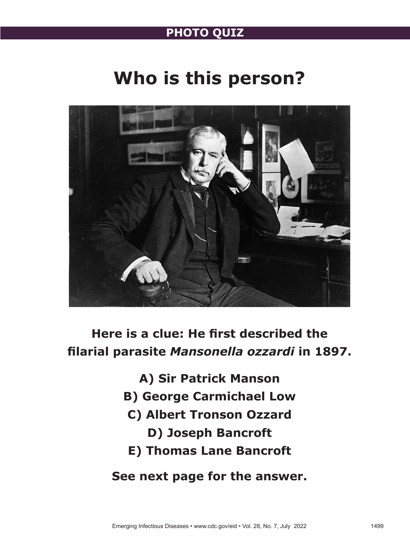## **PHOTO QUIZ**

# **Who is this person?**



**Here is a clue: He first described the filarial parasite** *Mansonella ozzardi* **in 1897.**

> **A) Sir Patrick Manson B) George Carmichael Low C) Albert Tronson Ozzard D) Joseph Bancroft E) Thomas Lane Bancroft See next page for the answer.**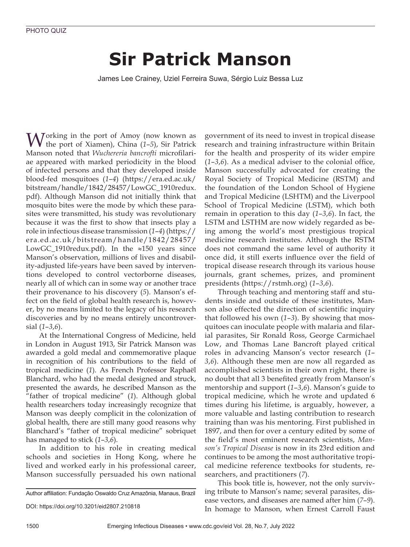# **Sir Patrick Manson**

James Lee Crainey, Uziel Ferreira Suwa, Sérgio Luiz Bessa Luz

Morking in the port of Amoy (now known as the port of Xiamen), China (*1*–*5*), Sir Patrick Manson noted that *Wuchereria bancrofti* microfilariae appeared with marked periodicity in the blood of infected persons and that they developed inside blood-fed mosquitoes (*1*–*4*) (https://era.ed.ac.uk/ bitstream/handle/1842/28457/LowGC\_1910redux. pdf). Although Manson did not initially think that mosquito bites were the mode by which these parasites were transmitted, his study was revolutionary because it was the first to show that insects play a role in infectious disease transmission (*1*–*4*) (https:// era.ed.ac.uk/bitstream/handle/1842/28457/ LowGC\_1910redux.pdf). In the ≈150 years since Manson's observation, millions of lives and disability-adjusted life-years have been saved by interventions developed to control vectorborne diseases, nearly all of which can in some way or another trace their provenance to his discovery (*5*). Manson's effect on the field of global health research is, however, by no means limited to the legacy of his research discoveries and by no means entirely uncontroversial (*1*–*3*,*6*).

At the International Congress of Medicine, held in London in August 1913, Sir Patrick Manson was awarded a gold medal and commemorative plaque in recognition of his contributions to the field of tropical medicine (*1*). As French Professor Raphaël Blanchard, who had the medal designed and struck, presented the awards, he described Manson as the "father of tropical medicine" (*1*). Although global health researchers today increasingly recognize that Manson was deeply complicit in the colonization of global health, there are still many good reasons why Blanchard's "father of tropical medicine" sobriquet has managed to stick (*1*–*3*,*6*).

In addition to his role in creating medical schools and societies in Hong Kong, where he lived and worked early in his professional career, Manson successfully persuaded his own national government of its need to invest in tropical disease research and training infrastructure within Britain for the health and prosperity of its wider empire (*1*–*3*,*6*). As a medical adviser to the colonial office, Manson successfully advocated for creating the Royal Society of Tropical Medicine (RSTM) and the foundation of the London School of Hygiene and Tropical Medicine (LSHTM) and the Liverpool School of Tropical Medicine (LSTM), which both remain in operation to this day (*1*–*3*,*6*). In fact, the LSTM and LSTHM are now widely regarded as being among the world's most prestigious tropical medicine research institutes. Although the RSTM does not command the same level of authority it once did, it still exerts influence over the field of tropical disease research through its various house journals, grant schemes, prizes, and prominent presidents (https://rstmh.org) (*1*–*3*,*6*).

Through teaching and mentoring staff and students inside and outside of these institutes, Manson also effected the direction of scientific inquiry that followed his own (*1*–*3*). By showing that mosquitoes can inoculate people with malaria and filarial parasites, Sir Ronald Ross, George Carmichael Low, and Thomas Lane Bancroft played critical roles in advancing Manson's vector research (*1*– *3*,*6*). Although these men are now all regarded as accomplished scientists in their own right, there is no doubt that all 3 benefited greatly from Manson's mentorship and support (*1*–*3*,*6*). Manson's guide to tropical medicine, which he wrote and updated 6 times during his lifetime, is arguably, however, a more valuable and lasting contribution to research training than was his mentoring. First published in 1897, and then for over a century edited by some of the field's most eminent research scientists, *Manson's Tropical Disease* is now in its 23rd edition and continues to be among the most authoritative tropical medicine reference textbooks for students, researchers, and practitioners (*7*).

This book title is, however, not the only surviving tribute to Manson's name; several parasites, disease vectors, and diseases are named after him (*7*–*9*). In homage to Manson, when Ernest Carroll Faust

Author affiliation: Fundação Oswaldo Cruz Amazônia, Manaus, Brazil

DOI: https://doi.org/10.3201/eid2807.210818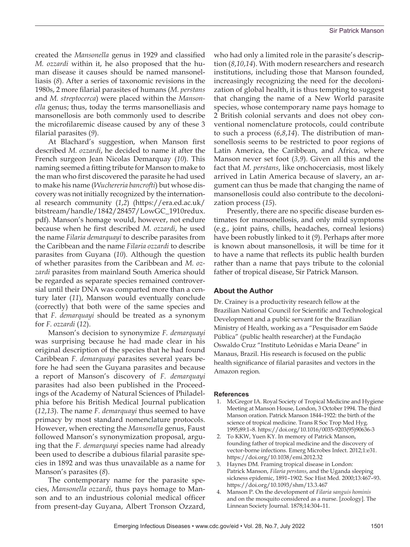created the *Mansonella* genus in 1929 and classified *M. ozzardi* within it, he also proposed that the human disease it causes should be named mansonelliasis (*8*). After a series of taxonomic revisions in the 1980s, 2 more filarial parasites of humans (*M. perstans* and *M. streptocerca*) were placed within the *Mansonella* genus; thus, today the terms mansonelliasis and mansonellosis are both commonly used to describe the microfilaremic disease caused by any of these 3 filarial parasites (*9*).

At Blachard's suggestion, when Manson first described *M. ozzardi*, he decided to name it after the French surgeon Jean Nicolas Demarquay (*10*). This naming seemed a fitting tribute for Manson to make to the man who first discovered the parasite he had used to make his name (*Wuchereria bancrofti*) but whose discovery was not initially recognized by the international research community (*1*,*2*) (https://era.ed.ac.uk/ bitstream/handle/1842/28457/LowGC\_1910redux. pdf). Manson's homage would, however, not endure because when he first described *M. ozzardi*, he used the name *Filaria demarquayi* to describe parasites from the Caribbean and the name *Filaria ozzardi* to describe parasites from Guyana (*10*). Although the question of whether parasites from the Caribbean and *M. ozzardi* parasites from mainland South America should be regarded as separate species remained controversial until their DNA was comparted more than a century later (*11*), Manson would eventually conclude (correctly) that both were of the same species and that *F. demarquayi* should be treated as a synonym for *F. ozzardi* (*12*).

Manson's decision to synonymize *F. demarquayi* was surprising because he had made clear in his original description of the species that he had found Caribbean *F. demarquayi* parasites several years before he had seen the Guyana parasites and because a report of Manson's discovery of *F. demarquayi* parasites had also been published in the Proceedings of the Academy of Natural Sciences of Philadelphia before his British Medical Journal publication (*12*,*13*). The name *F. demarquayi* thus seemed to have primacy by most standard nomenclature protocols. However, when erecting the *Mansonella* genus, Faust followed Manson's synonymization proposal, arguing that the *F. demarquayi* species name had already been used to describe a dubious filarial parasite species in 1892 and was thus unavailable as a name for Manson's parasites (*8*).

The contemporary name for the parasite species, *Mansonella ozzardi*, thus pays homage to Manson and to an industrious colonial medical officer from present-day Guyana, Albert Tronson Ozzard, who had only a limited role in the parasite's description (*8*,*10*,*14*). With modern researchers and research institutions, including those that Manson founded, increasingly recognizing the need for the decolonization of global health, it is thus tempting to suggest that changing the name of a New World parasite species, whose contemporary name pays homage to 2 British colonial servants and does not obey conventional nomenclature protocols, could contribute to such a process (*6*,*8*,*14*). The distribution of mansonellosis seems to be restricted to poor regions of Latin America, the Caribbean, and Africa, where Manson never set foot (*3*,*9*). Given all this and the fact that *M. perstans*, like onchocerciasis, most likely arrived in Latin America because of slavery, an argument can thus be made that changing the name of mansonellosis could also contribute to the decolonization process (*15*).

Presently, there are no specific disease burden estimates for mansonellosis, and only mild symptoms (e.g., joint pains, chills, headaches, corneal lesions) have been robustly linked to it (*9*). Perhaps after more is known about mansonellosis, it will be time for it to have a name that reflects its public health burden rather than a name that pays tribute to the colonial father of tropical disease, Sir Patrick Manson.

### **About the Author**

Dr. Crainey is a productivity research fellow at the Brazilian National Council for Scientific and Technological Development and a public servant for the Brazilian Ministry of Health, working as a "Pesquisador em Saúde Pública" (public health researcher) at the Fundação Oswaldo Cruz "Instituto Leônidas e Maria Deane" in Manaus, Brazil. His research is focused on the public health significance of filarial parasites and vectors in the Amazon region.

#### **References**

- 1. McGregor IA. Royal Society of Tropical Medicine and Hygiene Meeting at Manson House, London, 3 October 1994. The third Manson oration. Patrick Manson 1844–1922: the birth of the science of tropical medicine. Trans R Soc Trop Med Hyg. 1995;89:1–8. https://doi.org/10.1016/0035-9203(95)90636-3
- 2. To KKW, Yuen KY. In memory of Patrick Manson, founding father of tropical medicine and the discovery of vector-borne infections. Emerg Microbes Infect. 2012;1:e31. https://doi.org/10.1038/emi.2012.32
- 3. Haynes DM. Framing tropical disease in London: Patrick Manson, *Filaria perstans*, and the Uganda sleeping sickness epidemic, 1891–1902. Soc Hist Med. 2000;13:467–93. https://doi.org/10.1093/shm/13.3.467
- 4. Manson P. On the development of *Filaria sanguis hominis* and on the mosquito considered as a nurse. [zoology]. The Linnean Society Journal. 1878;14:304–11.